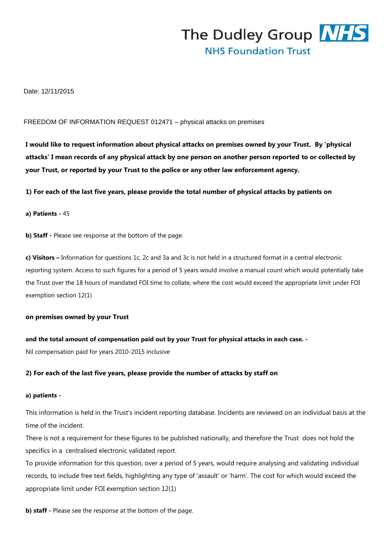

# Date: 12/11/2015

### FREEDOM OF INFORMATION REQUEST 012471 – physical attacks on premises

**I would like to request information about physical attacks on premises owned by your Trust. By 'physical attacks' I mean records of any physical attack by one person on another person reported to or collected by your Trust, or reported by your Trust to the police or any other law enforcement agency.**

**1) For each of the last five years, please provide the total number of physical attacks by patients on**

### **a) Patients -** 45

**b) Staff -** Please see response at the bottom of the page.

**c) Visitors –** Information for questions 1c, 2c and 3a and 3c is not held in a structured format in a central electronic reporting system. Access to such figures for a period of 5 years would involve a manual count which would potentially take the Trust over the 18 hours of mandated FOI time to collate, where the cost would exceed the appropriate limit under FOI exemption section 12(1)

### **on premises owned by your Trust**

**and the total amount of compensation paid out by your Trust for physical attacks in each case. -**

Nil compensation paid for years 2010-2015 inclusive

# **2) For each of the last five years, please provide the number of attacks by staff on**

#### **a) patients -**

This information is held in the Trust's incident reporting database. Incidents are reviewed on an individual basis at the time of the incident.

There is not a requirement for these figures to be published nationally, and therefore the Trust does not hold the specifics in a centralised electronic validated report.

To provide information for this question, over a period of 5 years, would require analysing and validating individual records, to include free text fields, highlighting any type of 'assault' or 'harm'. The cost for which would exceed the appropriate limit under FOI exemption section 12(1)

**b) staff** - Please see the response at the bottom of the page.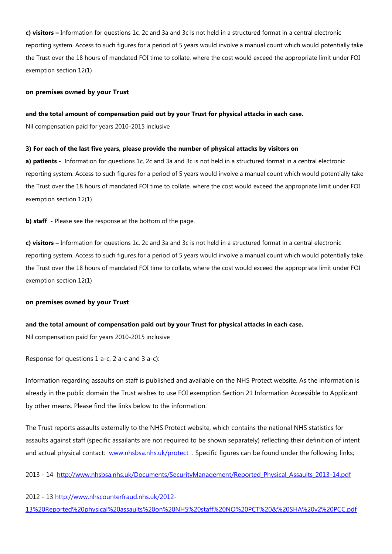**c) visitors –** Information for questions 1c, 2c and 3a and 3c is not held in a structured format in a central electronic reporting system. Access to such figures for a period of 5 years would involve a manual count which would potentially take the Trust over the 18 hours of mandated FOI time to collate, where the cost would exceed the appropriate limit under FOI exemption section 12(1)

### **on premises owned by your Trust**

### **and the total amount of compensation paid out by your Trust for physical attacks in each case.**

Nil compensation paid for years 2010-2015 inclusive

### **3) For each of the last five years, please provide the number of physical attacks by visitors on**

**a) patients -** Information for questions 1c, 2c and 3a and 3c is not held in a structured format in a central electronic reporting system. Access to such figures for a period of 5 years would involve a manual count which would potentially take the Trust over the 18 hours of mandated FOI time to collate, where the cost would exceed the appropriate limit under FOI exemption section 12(1)

**b) staff -** Please see the response at the bottom of the page.

**c) visitors –** Information for questions 1c, 2c and 3a and 3c is not held in a structured format in a central electronic reporting system. Access to such figures for a period of 5 years would involve a manual count which would potentially take the Trust over the 18 hours of mandated FOI time to collate, where the cost would exceed the appropriate limit under FOI exemption section 12(1)

# **on premises owned by your Trust**

# **and the total amount of compensation paid out by your Trust for physical attacks in each case.**

Nil compensation paid for years 2010-2015 inclusive

Response for questions 1 a-c, 2 a-c and 3 a-c):

Information regarding assaults on staff is published and available on the NHS Protect website. As the information is already in the public domain the Trust wishes to use FOI exemption Section 21 Information Accessible to Applicant by other means. Please find the links below to the information.

The Trust reports assaults externally to the NHS Protect website, which contains the national NHS statistics for assaults against staff (specific assailants are not required to be shown separately) reflecting their definition of intent and actual physical contact: [www.nhsbsa.nhs.uk/protect](http://www.nhsbsa.nhs.uk/protect) . Specific figures can be found under the following links;

2013 - 14 [http://www.nhsbsa.nhs.uk/Documents/SecurityManagement/Reported\\_Physical\\_Assaults\\_2013-14.pdf](http://www.nhsbsa.nhs.uk/Documents/SecurityManagement/Reported_Physical_Assaults_2013-14.pdf) 

2012 - 13 [http://www.nhscounterfraud.nhs.uk/2012-](http://www.nhscounterfraud.nhs.uk/2012-13%20Reported%20physical%20assaults%20on%20NHS%20staff%20NO%20PCT%20&%20SHA%20v2%20PCC.pdf) [13%20Reported%20physical%20assaults%20on%20NHS%20staff%20NO%20PCT%20&%20SHA%20v2%20PCC.pdf](http://www.nhscounterfraud.nhs.uk/2012-13%20Reported%20physical%20assaults%20on%20NHS%20staff%20NO%20PCT%20&%20SHA%20v2%20PCC.pdf)